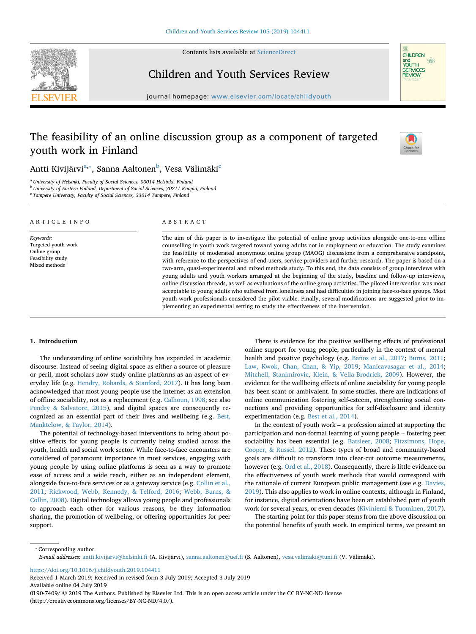



# Children and Youth Services Review

journal homepage: [www.elsevier.com/locate/childyouth](https://www.elsevier.com/locate/childyouth)

# The feasibility of an online discussion group as a component of targeted youth work in Finland



**CHILDREN** and<br>and<br>YOUTH<br>SERVICES<br>REVIEW

 $\frac{1}{\sqrt{2}}$ 

Antti Kivijärvi<sup>[a,](#page-0-0)</sup>\*, Sanna Aaltonen<sup>[b](#page-0-2)</sup>, Vesa Välimäki<sup>[c](#page-0-3)</sup>

<span id="page-0-0"></span><sup>a</sup> *University of Helsinki, Faculty of Social Sciences, 00014 Helsinki, Finland*

<span id="page-0-2"></span><sup>b</sup> *University of Eastern Finland, Department of Social Sciences, 70211 Kuopio, Finland*

<span id="page-0-3"></span><sup>c</sup> *Tampere University, Faculty of Social Sciences, 33014 Tampere, Finland*

| ARTICLE INFO                       | ABSTRACT                                                                                                                                                                                                                             |  |  |
|------------------------------------|--------------------------------------------------------------------------------------------------------------------------------------------------------------------------------------------------------------------------------------|--|--|
| Keywords:                          | The aim of this paper is to investigate the potential of online group activities alongside one-to-one offline                                                                                                                        |  |  |
| Targeted youth work                | counselling in youth work targeted toward young adults not in employment or education. The study examines                                                                                                                            |  |  |
| Online group                       | the feasibility of moderated anonymous online group (MAOG) discussions from a comprehensive standpoint,                                                                                                                              |  |  |
| Feasibility study<br>Mixed methods | with reference to the perspectives of end-users, service providers and further research. The paper is based on a<br>two-arm, quasi-experimental and mixed methods study. To this end, the data consists of group interviews with     |  |  |
|                                    | young adults and youth workers arranged at the beginning of the study, baseline and follow-up interviews,                                                                                                                            |  |  |
|                                    | online discussion threads, as well as evaluations of the online group activities. The piloted intervention was most                                                                                                                  |  |  |
|                                    | acceptable to young adults who suffered from loneliness and had difficulties in joining face-to-face groups. Most<br>youth work professionals considered the pilot viable. Finally, several modifications are suggested prior to im- |  |  |

plementing an experimental setting to study the effectiveness of the intervention.

#### **1. Introduction**

The understanding of online sociability has expanded in academic discourse. Instead of seeing digital space as either a source of pleasure or peril, most scholars now study online platforms as an aspect of everyday life (e.g. [Hendry, Robards, & Stanford, 2017](#page-7-0)). It has long been acknowledged that most young people use the internet as an extension of offline sociability, not as a replacement (e.g. [Calhoun, 1998](#page-7-1); see also [Pendry & Salvatore, 2015\)](#page-8-0), and digital spaces are consequently recognized as an essential part of their lives and wellbeing (e.g. [Best,](#page-7-2) [Manktelow, & Taylor, 2014\)](#page-7-2).

The potential of technology-based interventions to bring about positive effects for young people is currently being studied across the youth, health and social work sector. While face-to-face encounters are considered of paramount importance in most services, engaging with young people by using online platforms is seen as a way to promote ease of access and a wide reach, either as an independent element, alongside face-to-face services or as a gateway service (e.g. [Collin et al.,](#page-7-3) [2011;](#page-7-3) [Rickwood, Webb, Kennedy, & Telford, 2016;](#page-8-1) [Webb, Burns, &](#page-8-2) [Collin, 2008\)](#page-8-2). Digital technology allows young people and professionals to approach each other for various reasons, be they information sharing, the promotion of wellbeing, or offering opportunities for peer support.

There is evidence for the positive wellbeing effects of professional online support for young people, particularly in the context of mental health and positive psychology (e.g. [Baños et al., 2017](#page-7-4); [Burns, 2011](#page-7-5); [Law, Kwok, Chan, Chan, & Yip, 2019;](#page-7-6) [Manicavasagar et al., 2014](#page-8-3); [Mitchell, Stanimirovic, Klein, & Vella-Brodrick, 2009](#page-8-4)). However, the evidence for the wellbeing effects of online sociability for young people has been scant or ambivalent. In some studies, there are indications of online communication fostering self-esteem, strengthening social connections and providing opportunities for self-disclosure and identity experimentation (e.g. [Best et al., 2014](#page-7-2)).

In the context of youth work – a profession aimed at supporting the participation and non-formal learning of young people – fostering peer sociability has been essential (e.g. [Batsleer, 2008;](#page-7-7) [Fitzsimons, Hope,](#page-7-8) [Cooper, & Russel, 2012\)](#page-7-8). These types of broad and community-based goals are difficult to transform into clear-cut outcome measurements, however (e.g. [Ord et al., 2018\)](#page-8-5). Consequently, there is little evidence on the effectiveness of youth work methods that would correspond with the rationale of current European public management (see e.g. [Davies,](#page-7-9) [2019\)](#page-7-9). This also applies to work in online contexts, although in Finland, for instance, digital orientations have been an established part of youth work for several years, or even decades [\(Kiviniemi & Tuominen, 2017](#page-7-10)).

The starting point for this paper stems from the above discussion on the potential benefits of youth work. In empirical terms, we present an

<span id="page-0-1"></span>⁎ Corresponding author.

*E-mail addresses:* [antti.kivijarvi@helsinki.fi](mailto:antti.kivijarvi@helsinki.fi) (A. Kivijärvi), [sanna.aaltonen@uef.fi](mailto:sanna.aaltonen@uef.fi) (S. Aaltonen), [vesa.valimaki@tuni.fi](mailto:vesa.valimaki@tuni.fi) (V. Välimäki).

<https://doi.org/10.1016/j.childyouth.2019.104411>

Received 1 March 2019; Received in revised form 3 July 2019; Accepted 3 July 2019 Available online 04 July 2019

0190-7409/ © 2019 The Authors. Published by Elsevier Ltd. This is an open access article under the CC BY-NC-ND license (http://creativecommons.org/licenses/BY-NC-ND/4.0/).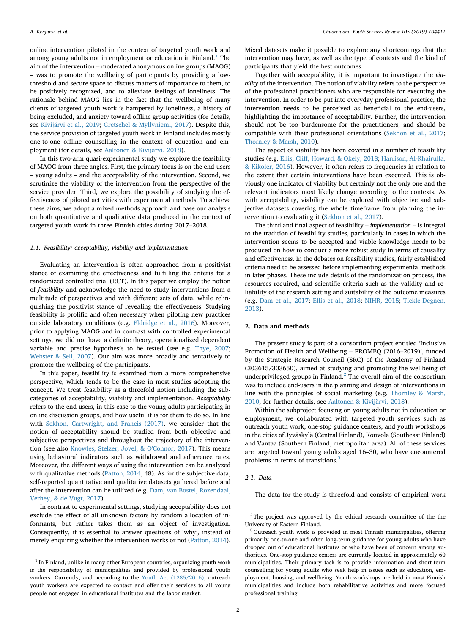online intervention piloted in the context of targeted youth work and among young adults not in employment or education in Finland. $<sup>1</sup>$  $<sup>1</sup>$  $<sup>1</sup>$  The</sup> aim of the intervention – moderated anonymous online groups (MAOG) – was to promote the wellbeing of participants by providing a lowthreshold and secure space to discuss matters of importance to them, to be positively recognized, and to alleviate feelings of loneliness. The rationale behind MAOG lies in the fact that the wellbeing of many clients of targeted youth work is hampered by loneliness, a history of being excluded, and anxiety toward offline group activities (for details, see [Kivijärvi et al., 2019;](#page-7-11) [Gretschel & Myllyniemi, 2017\)](#page-7-12). Despite this, the service provision of targeted youth work in Finland includes mostly one-to-one offline counselling in the context of education and employment (for details, see [Aaltonen & Kivijärvi, 2018\)](#page-7-13).

In this two-arm quasi-experimental study we explore the feasibility of MAOG from three angles. First, the primary focus is on the end-users – young adults – and the acceptability of the intervention. Second, we scrutinize the viability of the intervention from the perspective of the service provider. Third, we explore the possibility of studying the effectiveness of piloted activities with experimental methods. To achieve these aims, we adopt a mixed methods approach and base our analysis on both quantitative and qualitative data produced in the context of targeted youth work in three Finnish cities during 2017–2018.

#### *1.1. Feasibility: acceptability, viability and implementation*

Evaluating an intervention is often approached from a positivist stance of examining the effectiveness and fulfilling the criteria for a randomized controlled trial (RCT). In this paper we employ the notion of *feasibility* and acknowledge the need to study interventions from a multitude of perspectives and with different sets of data, while relinquishing the positivist stance of revealing the effectiveness. Studying feasibility is prolific and often necessary when piloting new practices outside laboratory conditions (e.g. [Eldridge et al., 2016\)](#page-7-14). Moreover, prior to applying MAOG and in contrast with controlled experimental settings, we did not have a definite theory, operationalized dependent variable and precise hypothesis to be tested (see e.g. [Thye, 2007](#page-8-6); [Webster & Sell, 2007](#page-8-7)). Our aim was more broadly and tentatively to promote the wellbeing of the participants.

In this paper, feasibility is examined from a more comprehensive perspective, which tends to be the case in most studies adopting the concept. We treat feasibility as a threefold notion including the subcategories of acceptability, viability and implementation. *Acceptability* refers to the end-users, in this case to the young adults participating in online discussion groups, and how useful it is for them to do so. In line with [Sekhon, Cartwright, and Francis \(2017\),](#page-8-8) we consider that the notion of acceptability should be studied from both objective and subjective perspectives and throughout the trajectory of the intervention (see also [Knowles, Stelzer, Jovel, & O'Connor, 2017](#page-7-15)). This means using behavioral indicators such as withdrawal and adherence rates. Moreover, the different ways of using the intervention can be analyzed with qualitative methods ([Patton, 2014](#page-8-9), 48). As for the subjective data, self-reported quantitative and qualitative datasets gathered before and after the intervention can be utilized (e.g. [Dam, van Bostel, Rozendaal,](#page-7-16) [Verhey, & de Vugt, 2017](#page-7-16)).

In contrast to experimental settings, studying acceptability does not exclude the effect of all unknown factors by random allocation of informants, but rather takes them as an object of investigation. Consequently, it is essential to answer questions of 'why', instead of merely enquiring whether the intervention works or not [\(Patton, 2014](#page-8-9)).

Mixed datasets make it possible to explore any shortcomings that the intervention may have, as well as the type of contexts and the kind of participants that yield the best outcomes.

Together with acceptability, it is important to investigate the *viability* of the intervention. The notion of viability refers to the perspective of the professional practitioners who are responsible for executing the intervention. In order to be put into everyday professional practice, the intervention needs to be perceived as beneficial to the end-users, highlighting the importance of acceptability. Further, the intervention should not be too burdensome for the practitioners, and should be compatible with their professional orientations ([Sekhon et al., 2017](#page-8-8); [Thornley & Marsh, 2010](#page-8-10)).

The aspect of viability has been covered in a number of feasibility studies (e.g. [Ellis, Cliff, Howard, & Okely, 2018](#page-7-17); [Harrison, Al-Khairulla,](#page-7-18) [& Kikoler, 2016](#page-7-18)). However, it often refers to frequencies in relation to the extent that certain interventions have been executed. This is obviously one indicator of viability but certainly not the only one and the relevant indicators most likely change according to the contexts. As with acceptability, viability can be explored with objective and subjective datasets covering the whole timeframe from planning the intervention to evaluating it ([Sekhon et al., 2017\)](#page-8-8).

The third and final aspect of feasibility – *implementation* – is integral to the tradition of feasibility studies, particularly in cases in which the intervention seems to be accepted and viable knowledge needs to be produced on how to conduct a more robust study in terms of causality and effectiveness. In the debates on feasibility studies, fairly established criteria need to be assessed before implementing experimental methods in later phases. These include details of the randomization process, the resources required, and scientific criteria such as the validity and reliability of the research setting and suitability of the outcome measures (e.g. [Dam et al., 2017](#page-7-16); [Ellis et al., 2018](#page-7-17); [NIHR, 2015;](#page-8-11) [Tickle-Degnen,](#page-8-12) [2013\)](#page-8-12).

#### **2. Data and methods**

The present study is part of a consortium project entitled 'Inclusive Promotion of Health and Wellbeing – PROMEQ (2016–2019)', funded by the Strategic Research Council (SRC) of the Academy of Finland (303615/303650), aimed at studying and promoting the wellbeing of underprivileged groups in Finland. $^{2}$  The overall aim of the consortium was to include end-users in the planning and design of interventions in line with the principles of social marketing (e.g. [Thornley & Marsh,](#page-8-10) [2010;](#page-8-10) for further details, see [Aaltonen & Kivijärvi, 2018\)](#page-7-13).

Within the subproject focusing on young adults not in education or employment, we collaborated with targeted youth services such as outreach youth work, one-stop guidance centers, and youth workshops in the cities of Jyväskylä (Central Finland), Kouvola (Southeast Finland) and Vantaa (Southern Finland, metropolitan area). All of these services are targeted toward young adults aged 16–30, who have encountered problems in terms of transitions.<sup>[3](#page-1-2)</sup>

# <span id="page-1-3"></span>*2.1. Data*

The data for the study is threefold and consists of empirical work

<span id="page-1-0"></span> $1$  In Finland, unlike in many other European countries, organizing youth work is the responsibility of municipalities and provided by professional youth workers. Currently, and according to the [Youth Act \(1285/2016\)](#page-8-13), outreach youth workers are expected to contact and offer their services to all young people not engaged in educational institutes and the labor market.

<span id="page-1-1"></span><sup>&</sup>lt;sup>2</sup>The project was approved by the ethical research committee of the the University of Eastern Finland.

<span id="page-1-2"></span><sup>&</sup>lt;sup>3</sup> Outreach youth work is provided in most Finnish municipalities, offering primarily one-to-one and often long-term guidance for young adults who have dropped out of educational institutes or who have been of concern among authorities. One-stop guidance centers are currently located in approximately 60 municipalities. Their primary task is to provide information and short-term counselling for young adults who seek help in issues such as education, employment, housing, and wellbeing. Youth workshops are held in most Finnish municipalities and include both rehabilitative activities and more focused professional training.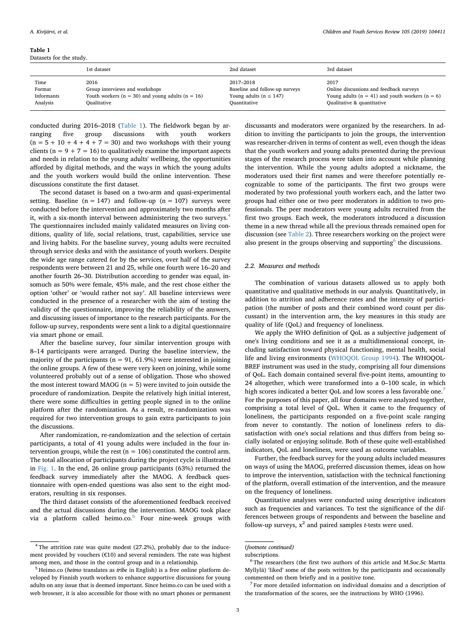<span id="page-2-0"></span>**Table 1**

|            | 1st dataset                                              | 2nd dataset                    | 3rd dataset                                             |
|------------|----------------------------------------------------------|--------------------------------|---------------------------------------------------------|
| Time       | 2016                                                     | 2017–2018                      | 2017                                                    |
| Format     | Group interviews and workshops                           | Baseline and follow-up surveys | Online discussions and feedback surveys                 |
| Informants | Youth workers ( $n = 30$ ) and young adults ( $n = 16$ ) | Young adults ( $n \leq 147$ )  | Young adults ( $n = 41$ ) and youth workers ( $n = 6$ ) |
| Analysis   | Oualitative                                              | Quantitative                   | Qualitative & quantitative                              |

conducted during 2016–2018 [\(Table 1\)](#page-2-0). The fieldwork began by arranging five group discussions with youth workers  $(n = 5 + 10 + 4 + 4 + 7 = 30)$  and two workshops with their young clients ( $n = 9 + 7 = 16$ ) to qualitatively examine the important aspects and needs in relation to the young adults' wellbeing, the opportunities afforded by digital methods, and the ways in which the young adults and the youth workers would build the online intervention. These discussions constitute the first dataset.

The second dataset is based on a two-arm and quasi-experimental setting. Baseline ( $n = 147$ ) and follow-up ( $n = 107$ ) surveys were conducted before the intervention and approximately two months after it, with a six-month interval between administering the two surveys.<sup>[4](#page-2-1)</sup> The questionnaires included mainly validated measures on living conditions, quality of life, social relations, trust, capabilities, service use and living habits. For the baseline survey, young adults were recruited through service desks and with the assistance of youth workers. Despite the wide age range catered for by the services, over half of the survey respondents were between 21 and 25, while one fourth were 16–20 and another fourth 26–30. Distribution according to gender was equal, insomuch as 50% were female, 45% male, and the rest chose either the option 'other' or 'would rather not say'. All baseline interviews were conducted in the presence of a researcher with the aim of testing the validity of the questionnaire, improving the reliability of the answers, and discussing issues of importance to the research participants. For the follow-up survey, respondents were sent a link to a digital questionnaire via smart phone or email.

After the baseline survey, four similar intervention groups with 8–14 participants were arranged. During the baseline interview, the majority of the participants ( $n = 91, 61.9%$ ) were interested in joining the online groups. A few of these were very keen on joining, while some volunteered probably out of a sense of obligation. Those who showed the most interest toward MAOG ( $n = 5$ ) were invited to join outside the procedure of randomization. Despite the relatively high initial interest, there were some difficulties in getting people signed in to the online platform after the randomization. As a result, re-randomization was required for two intervention groups to gain extra participants to join the discussions.

After randomization, re-randomization and the selection of certain participants, a total of 41 young adults were included in the four intervention groups, while the rest ( $n = 106$ ) constituted the control arm. The total allocation of participants during the project cycle is illustrated in [Fig. 1.](#page-3-0) In the end, 26 online group participants (63%) returned the feedback survey immediately after the MAOG. A feedback questionnaire with open-ended questions was also sent to the eight moderators, resulting in six responses.

The third dataset consists of the aforementioned feedback received and the actual discussions during the intervention. MAOG took place via a platform called heimo.co.<sup>[5](#page-2-2)</sup> Four nine-week groups with

discussants and moderators were organized by the researchers. In addition to inviting the participants to join the groups, the intervention was researcher-driven in terms of content as well, even though the ideas that the youth workers and young adults presented during the previous stages of the research process were taken into account while planning the intervention. While the young adults adopted a nickname, the moderators used their first names and were therefore potentially recognizable to some of the participants. The first two groups were moderated by two professional youth workers each, and the latter two groups had either one or two peer moderators in addition to two professionals. The peer moderators were young adults recruited from the first two groups. Each week, the moderators introduced a discussion theme in a new thread while all the previous threads remained open for discussion (see [Table 2\)](#page-3-1). Three researchers working on the project were also present in the groups observing and supporting $6$  the discussions.

#### *2.2. Measures and methods*

The combination of various datasets allowed us to apply both quantitative and qualitative methods in our analysis. Quantitatively, in addition to attrition and adherence rates and the intensity of participation (the number of posts and their combined word count per discussant) in the intervention arm, the key measures in this study are quality of life (QoL) and frequency of loneliness.

We apply the WHO definition of QoL as a subjective judgement of one's living conditions and see it as a multidimensional concept, including satisfaction toward physical functioning, mental health, social life and living environments [\(WHOQOL Group 1994](#page-8-14)). The WHOQOL-BREF instrument was used in the study, comprising all four dimensions of QoL. Each domain contained several five-point items, amounting to 24 altogether, which were transformed into a 0–100 scale, in which high scores indicated a better QoL and low scores a less favorable one.<sup>7</sup> For the purposes of this paper, all four domains were analyzed together, comprising a total level of QoL. When it came to the frequency of loneliness, the participants responded on a five-point scale ranging from never to constantly. The notion of loneliness refers to dissatisfaction with one's social relations and thus differs from being socially isolated or enjoying solitude. Both of these quite well-established indicators, QoL and loneliness, were used as outcome variables.

Further, the feedback survey for the young adults included measures on ways of using the MAOG, preferred discussion themes, ideas on how to improve the intervention, satisfaction with the technical functioning of the platform, overall estimation of the intervention, and the measure on the frequency of loneliness.

Quantitative analyses were conducted using descriptive indicators such as frequencies and variances. To test the significance of the differences between groups of respondents and between the baseline and follow-up surveys,  $x^2$  and paired samples *t*-tests were used.

<span id="page-2-1"></span><sup>&</sup>lt;sup>4</sup> The attrition rate was quite modest (27.2%), probably due to the inducement provided by vouchers  $(€10)$  and several reminders. The rate was highest among men, and those in the control group and in a relationship.

<span id="page-2-2"></span><sup>5</sup> Heimo.co (*heimo* translates as *tribe* in English) is a free online platform developed by Finnish youth workers to enhance supportive discussions for young adults on any issue that is deemed important. Since heimo.co can be used with a web browser, it is also accessible for those with no smart phones or permanent

<sup>(</sup>*footnote continued)*

subscriptions.

<span id="page-2-3"></span><sup>6</sup> The researchers (the first two authors of this article and M.Soc.Sc Martta Myllylä) 'liked' some of the posts written by the participants and occasionally commented on them briefly and in a positive tone.

<span id="page-2-4"></span> $7$  For more detailed information on individual domains and a description of the transformation of the scores, see the instructions by WHO (1996).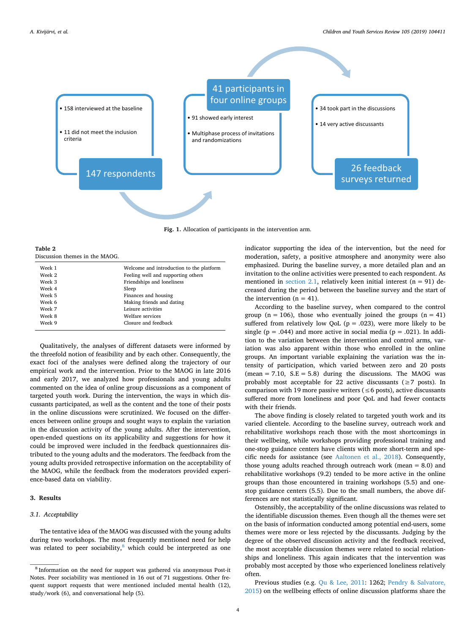<span id="page-3-0"></span>

**Fig. 1.** Allocation of participants in the intervention arm.

<span id="page-3-1"></span>

| Table 2<br>Discussion themes in the MAOG. |                                          |
|-------------------------------------------|------------------------------------------|
| Week 1                                    | Welcome and introduction to the platform |
| Week 2                                    | Feeling well and supporting others       |
| Week 3                                    | Friendships and loneliness               |
| Week 4                                    | Sleep                                    |
| Week 5                                    | Finances and housing                     |
| Week 6                                    | Making friends and dating                |
| Week 7                                    | Leisure activities                       |
| Week 8                                    | Welfare services                         |
| Week 9                                    | Closure and feedback                     |
|                                           |                                          |

Qualitatively, the analyses of different datasets were informed by the threefold notion of feasibility and by each other. Consequently, the exact foci of the analyses were defined along the trajectory of our empirical work and the intervention. Prior to the MAOG in late 2016 and early 2017, we analyzed how professionals and young adults commented on the idea of online group discussions as a component of targeted youth work. During the intervention, the ways in which discussants participated, as well as the content and the tone of their posts in the online discussions were scrutinized. We focused on the differences between online groups and sought ways to explain the variation in the discussion activity of the young adults. After the intervention, open-ended questions on its applicability and suggestions for how it could be improved were included in the feedback questionnaires distributed to the young adults and the moderators. The feedback from the young adults provided retrospective information on the acceptability of the MAOG, while the feedback from the moderators provided experience-based data on viability.

# **3. Results**

#### *3.1. Acceptability*

The tentative idea of the MAOG was discussed with the young adults during two workshops. The most frequently mentioned need for help was related to peer sociability, $8$  which could be interpreted as one indicator supporting the idea of the intervention, but the need for moderation, safety, a positive atmosphere and anonymity were also emphasized. During the baseline survey, a more detailed plan and an invitation to the online activities were presented to each respondent. As mentioned in [section 2.1,](#page-1-3) relatively keen initial interest ( $n = 91$ ) decreased during the period between the baseline survey and the start of the intervention  $(n = 41)$ .

According to the baseline survey, when compared to the control group ( $n = 106$ ), those who eventually joined the groups ( $n = 41$ ) suffered from relatively low QoL ( $p = .023$ ), were more likely to be single ( $p = .044$ ) and more active in social media ( $p = .021$ ). In addition to the variation between the intervention and control arms, variation was also apparent within those who enrolled in the online groups. An important variable explaining the variation was the intensity of participation, which varied between zero and 20 posts (mean =  $7.10$ ,  $S.E = 5.8$ ) during the discussions. The MAOG was probably most acceptable for 22 active discussants ( $\geq$ 7 posts). In comparison with 19 more passive writers ( $\leq$ 6 posts), active discussants suffered more from loneliness and poor QoL and had fewer contacts with their friends.

The above finding is closely related to targeted youth work and its varied clientele. According to the baseline survey, outreach work and rehabilitative workshops reach those with the most shortcomings in their wellbeing, while workshops providing professional training and one-stop guidance centers have clients with more short-term and specific needs for assistance (see [Aaltonen et al., 2018\)](#page-7-19). Consequently, those young adults reached through outreach work (mean  $= 8.0$ ) and rehabilitative workshops (9.2) tended to be more active in the online groups than those encountered in training workshops (5.5) and onestop guidance centers (5.5). Due to the small numbers, the above differences are not statistically significant.

Ostensibly, the acceptability of the online discussions was related to the identifiable discussion themes. Even though all the themes were set on the basis of information conducted among potential end-users, some themes were more or less rejected by the discussants. Judging by the degree of the observed discussion activity and the feedback received, the most acceptable discussion themes were related to social relationships and loneliness. This again indicates that the intervention was probably most accepted by those who experienced loneliness relatively often.

Previous studies (e.g. [Qu & Lee, 2011:](#page-8-15) 1262; [Pendry & Salvatore,](#page-8-0) [2015\)](#page-8-0) on the wellbeing effects of online discussion platforms share the

<span id="page-3-2"></span><sup>8</sup> Information on the need for support was gathered via anonymous Post-it Notes. Peer sociability was mentioned in 16 out of 71 suggestions. Other frequent support requests that were mentioned included mental health (12), study/work (6), and conversational help (5).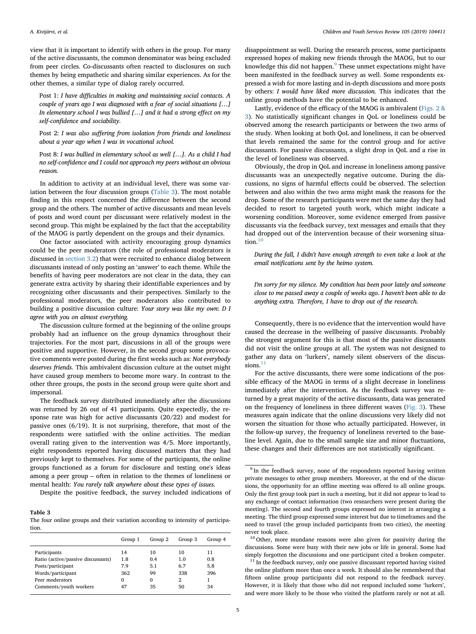view that it is important to identify with others in the group. For many of the active discussants, the common denominator was being excluded from peer circles. Co-discussants often reacted to disclosures on such themes by being empathetic and sharing similar experiences. As for the other themes, a similar type of dialog rarely occurred.

Post 1: *I have difficulties in making and maintaining social contacts. A couple of years ago I was diagnosed with a fear of social situations […] In elementary school I was bullied […] and it had a strong effect on my self-confidence and sociability.*

Post 2: *I was also suffering from isolation from friends and loneliness about a year ago when I was in vocational school.*

Post 8: *I was bullied in elementary school as well […]. As a child I had no self-confidence and I could not approach my peers without an obvious reason.*

In addition to activity at an individual level, there was some variation between the four discussion groups [\(Table 3\)](#page-4-0). The most notable finding in this respect concerned the difference between the second group and the others. The number of active discussants and mean levels of posts and word count per discussant were relatively modest in the second group. This might be explained by the fact that the acceptability of the MAOG is partly dependent on the groups and their dynamics.

One factor associated with activity encouraging group dynamics could be the peer moderators (the role of professional moderators is discussed in [section 3.2\)](#page-5-0) that were recruited to enhance dialog between discussants instead of only posting an 'answer' to each theme. While the benefits of having peer moderators are not clear in the data, they can generate extra activity by sharing their identifiable experiences and by recognizing other discussants and their perspectives. Similarly to the professional moderators, the peer moderators also contributed to building a positive discussion culture: *Your story was like my own*: *D I agree with you on almost everything.*

The discussion culture formed at the beginning of the online groups probably had an influence on the group dynamics throughout their trajectories. For the most part, discussions in all of the groups were positive and supportive. However, in the second group some provocative comments were posted during the first weeks such as: *Not everybody deserves friends*. This ambivalent discussion culture at the outset might have caused group members to become more wary. In contrast to the other three groups, the posts in the second group were quite short and impersonal.

The feedback survey distributed immediately after the discussions was returned by 26 out of 41 participants. Quite expectedly, the response rate was high for active discussants (20/22) and modest for passive ones (6/19). It is not surprising, therefore, that most of the respondents were satisfied with the online activities. The median overall rating given to the intervention was 4/5. More importantly, eight respondents reported having discussed matters that they had previously kept to themselves. For some of the participants, the online groups functioned as a forum for disclosure and testing one's ideas among a peer group – often in relation to the themes of loneliness or mental health: *You rarely talk anywhere about these types of issues.*

Despite the positive feedback, the survey included indications of

#### <span id="page-4-0"></span>**Table 3**

The four online groups and their variation according to intensity of participation.

|                                    | Group 1 | Group 2  | Group 3 | Group 4 |
|------------------------------------|---------|----------|---------|---------|
| Participants                       | 14      | 10       | 10      | 11      |
| Ratio (active/passive discussants) | 1.8     | 0.4      | 1.0     | 0.8     |
| Posts/participant                  | 7.9     | 5.1      | 6.7     | 5.8     |
| Words/participant                  | 362     | 99       | 338     | 396     |
| Peer moderators                    | 0       | $\Omega$ | 2       |         |
| Comments/youth workers             | 47      | 35       | 50      | 34      |

disappointment as well. During the research process, some participants expressed hopes of making new friends through the MAOG, but to our knowledge this did not happen.<sup>[9](#page-4-1)</sup> These unmet expectations might have been manifested in the feedback survey as well. Some respondents expressed a wish for more lasting and in-depth discussions and more posts by others: *I would have liked more discussion.* This indicates that the online group methods have the potential to be enhanced.

Lastly, evidence of the efficacy of the MAOG is ambivalent [\(Figs. 2 &](#page-5-1) [3](#page-5-1)). No statistically significant changes in QoL or loneliness could be observed among the research participants or between the two arms of the study. When looking at both QoL and loneliness, it can be observed that levels remained the same for the control group and for active discussants. For passive discussants, a slight drop in QoL and a rise in the level of loneliness was observed.

Obviously, the drop in QoL and increase in loneliness among passive discussants was an unexpectedly negative outcome. During the discussions, no signs of harmful effects could be observed. The selection between and also within the two arms might mask the reasons for the drop. Some of the research participants were met the same day they had decided to resort to targeted youth work, which might indicate a worsening condition. Moreover, some evidence emerged from passive discussants via the feedback survey, text messages and emails that they had dropped out of the intervention because of their worsening situation. $10$ 

*During the fall, I didn't have enough strength to even take a look at the email notifications sent by the heimo system.*

*I'm sorry for my silence. My condition has been poor lately and someone close to me passed away a couple of weeks ago. I haven't been able to do anything extra. Therefore, I have to drop out of the research.*

Consequently, there is no evidence that the intervention would have caused the decrease in the wellbeing of passive discussants. Probably the strongest argument for this is that most of the passive discussants did not visit the online groups at all. The system was not designed to gather any data on 'lurkers', namely silent observers of the discussions. $^{11}$ 

For the active discussants, there were some indications of the possible efficacy of the MAOG in terms of a slight decrease in loneliness immediately after the intervention. As the feedback survey was returned by a great majority of the active discussants, data was generated on the frequency of loneliness in three different waves ([Fig. 3](#page-5-2)). These measures again indicate that the online discussions very likely did not worsen the situation for those who actually participated. However, in the follow-up survey, the frequency of loneliness reverted to the baseline level. Again, due to the small sample size and minor fluctuations, these changes and their differences are not statistically significant.

<span id="page-4-2"></span><sup>10</sup> Other, more mundane reasons were also given for passivity during the discussions. Some were busy with their new jobs or life in general. Some had simply forgotten the discussions and one participant cited a broken computer.

<span id="page-4-3"></span> $11$  In the feedback survey, only one passive discussant reported having visited the online platform more than once a week. It should also be remembered that fifteen online group participants did not respond to the feedback survey. However, it is likely that those who did not respond included some 'lurkers', and were more likely to be those who visited the platform rarely or not at all.

<span id="page-4-1"></span><sup>&</sup>lt;sup>9</sup> In the feedback survey, none of the respondents reported having written private messages to other group members. Moreover, at the end of the discussions, the opportunity for an offline meeting was offered to all online groups. Only the first group took part in such a meeting, but it did not appear to lead to any exchange of contact information (two researchers were present during the meeting). The second and fourth groups expressed no interest in arranging a meeting. The third group expressed some interest but due to timeframes and the need to travel (the group included participants from two cities), the meeting never took place.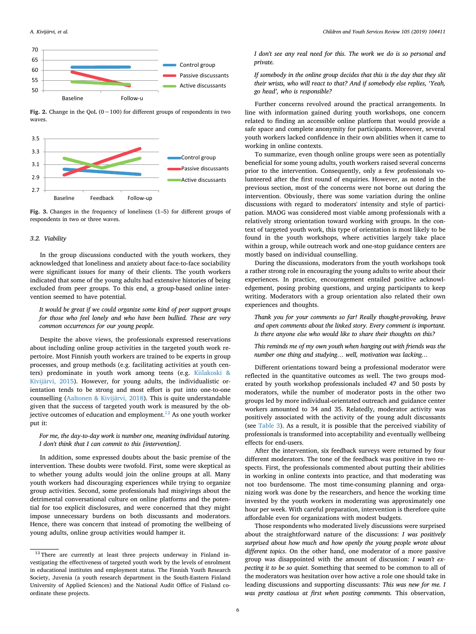<span id="page-5-1"></span>

**Fig. 2.** Change in the QoL (0−100) for different groups of respondents in two waves.

<span id="page-5-2"></span>

**Fig. 3.** Changes in the frequency of loneliness (1–5) for different groups of respondents in two or three waves.

#### <span id="page-5-0"></span>*3.2. Viability*

In the group discussions conducted with the youth workers, they acknowledged that loneliness and anxiety about face-to-face sociability were significant issues for many of their clients. The youth workers indicated that some of the young adults had extensive histories of being excluded from peer groups. To this end, a group-based online intervention seemed to have potential.

*It would be great if we could organize some kind of peer support groups for those who feel lonely and who have been bullied. These are very common occurrences for our young people.*

Despite the above views, the professionals expressed reservations about including online group activities in the targeted youth work repertoire. Most Finnish youth workers are trained to be experts in group processes, and group methods (e.g. facilitating activities at youth centers) predominate in youth work among teens (e.g. [Kiilakoski &](#page-7-20) [Kivijärvi, 2015](#page-7-20)). However, for young adults, the individualistic orientation tends to be strong and most effort is put into one-to-one counselling [\(Aaltonen & Kivijärvi, 2018\)](#page-7-13). This is quite understandable given that the success of targeted youth work is measured by the ob-jective outcomes of education and employment.<sup>[12](#page-5-3)</sup> As one youth worker put it:

*For me, the day-to-day work is number one, meaning individual tutoring. I don't think that I can commit to this [intervention].*

In addition, some expressed doubts about the basic premise of the intervention. These doubts were twofold. First, some were skeptical as to whether young adults would join the online groups at all. Many youth workers had discouraging experiences while trying to organize group activities. Second, some professionals had misgivings about the detrimental conversational culture on online platforms and the potential for too explicit disclosures, and were concerned that they might impose unnecessary burdens on both discussants and moderators. Hence, there was concern that instead of promoting the wellbeing of young adults, online group activities would hamper it.

*I don't see any real need for this. The work we do is so personal and private.*

*If somebody in the online group decides that this is the day that they slit their wrists, who will react to that? And if somebody else replies, 'Yeah, go head', who is responsible?*

Further concerns revolved around the practical arrangements. In line with information gained during youth workshops, one concern related to finding an accessible online platform that would provide a safe space and complete anonymity for participants. Moreover, several youth workers lacked confidence in their own abilities when it came to working in online contexts.

To summarize, even though online groups were seen as potentially beneficial for some young adults, youth workers raised several concerns prior to the intervention. Consequently, only a few professionals volunteered after the first round of enquiries. However, as noted in the previous section, most of the concerns were not borne out during the intervention. Obviously, there was some variation during the online discussions with regard to moderators' intensity and style of participation. MAOG was considered most viable among professionals with a relatively strong orientation toward working with groups. In the context of targeted youth work, this type of orientation is most likely to be found in the youth workshops, where activities largely take place within a group, while outreach work and one-stop guidance centers are mostly based on individual counselling.

During the discussions, moderators from the youth workshops took a rather strong role in encouraging the young adults to write about their experiences. In practice, encouragement entailed positive acknowledgement, posing probing questions, and urging participants to keep writing. Moderators with a group orientation also related their own experiences and thoughts.

*Thank you for your comments so far! Really thought-provoking, brave and open comments about the linked story. Every comment is important. Is there anyone else who would like to share their thoughts on this?*

*This reminds me of my own youth when hanging out with friends was the number one thing and studying… well, motivation was lacking…*

Different orientations toward being a professional moderator were reflected in the quantitative outcomes as well. The two groups moderated by youth workshop professionals included 47 and 50 posts by moderators, while the number of moderator posts in the other two groups led by more individual-orientated outreach and guidance center workers amounted to 34 and 35. Relatedly, moderator activity was positively associated with the activity of the young adult discussants (see [Table 3\)](#page-4-0). As a result, it is possible that the perceived viability of professionals is transformed into acceptability and eventually wellbeing effects for end-users.

After the intervention, six feedback surveys were returned by four different moderators. The tone of the feedback was positive in two respects. First, the professionals commented about putting their abilities in working in online contexts into practice, and that moderating was not too burdensome. The most time-consuming planning and organizing work was done by the researchers, and hence the working time invested by the youth workers in moderating was approximately one hour per week. With careful preparation, intervention is therefore quite affordable even for organizations with modest budgets.

Those respondents who moderated lively discussions were surprised about the straightforward nature of the discussions: *I was positively surprised about how much and how openly the young people wrote about different topics*. On the other hand, one moderator of a more passive group was disappointed with the amount of discussion: *I wasn't expecting it to be so quiet*. Something that seemed to be common to all of the moderators was hesitation over how active a role one should take in leading discussions and supporting discussants: *This was new for me. I was pretty cautious at first when posting comments.* This observation,

<span id="page-5-3"></span><sup>&</sup>lt;sup>12</sup> There are currently at least three projects underway in Finland investigating the effectiveness of targeted youth work by the levels of enrolment in educational institutes and employment status. The Finnish Youth Research Society, Juvenia (a youth research department in the South-Eastern Finland University of Applied Sciences) and the National Audit Office of Finland coordinate these projects.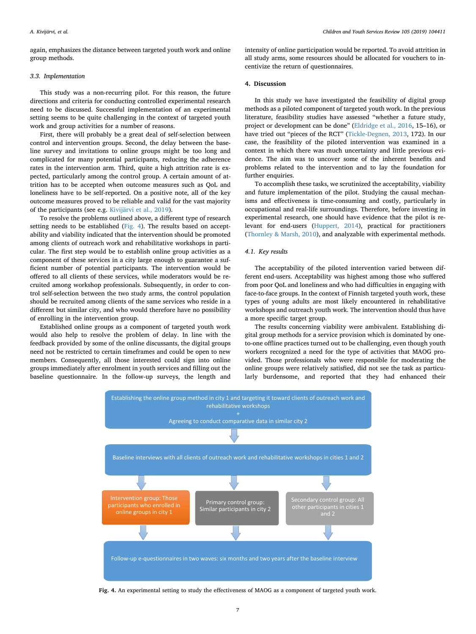again, emphasizes the distance between targeted youth work and online group methods.

#### *3.3. Implementation*

This study was a non-recurring pilot. For this reason, the future directions and criteria for conducting controlled experimental research need to be discussed. Successful implementation of an experimental setting seems to be quite challenging in the context of targeted youth work and group activities for a number of reasons.

First, there will probably be a great deal of self-selection between control and intervention groups. Second, the delay between the baseline survey and invitations to online groups might be too long and complicated for many potential participants, reducing the adherence rates in the intervention arm. Third, quite a high attrition rate is expected, particularly among the control group. A certain amount of attrition has to be accepted when outcome measures such as QoL and loneliness have to be self-reported. On a positive note, all of the key outcome measures proved to be reliable and valid for the vast majority of the participants (see e.g. [Kivijärvi et al., 2019](#page-7-11)).

To resolve the problems outlined above, a different type of research setting needs to be established ([Fig. 4](#page-6-0)). The results based on acceptability and viability indicated that the intervention should be promoted among clients of outreach work and rehabilitative workshops in particular. The first step would be to establish online group activities as a component of these services in a city large enough to guarantee a sufficient number of potential participants. The intervention would be offered to all clients of these services, while moderators would be recruited among workshop professionals. Subsequently, in order to control self-selection between the two study arms, the control population should be recruited among clients of the same services who reside in a different but similar city, and who would therefore have no possibility of enrolling in the intervention group.

Established online groups as a component of targeted youth work would also help to resolve the problem of delay. In line with the feedback provided by some of the online discussants, the digital groups need not be restricted to certain timeframes and could be open to new members. Consequently, all those interested could sign into online groups immediately after enrolment in youth services and filling out the baseline questionnaire. In the follow-up surveys, the length and intensity of online participation would be reported. To avoid attrition in all study arms, some resources should be allocated for vouchers to incentivize the return of questionnaires.

#### **4. Discussion**

In this study we have investigated the feasibility of digital group methods as a piloted component of targeted youth work. In the previous literature, feasibility studies have assessed "whether a future study, project or development can be done" [\(Eldridge et al., 2016,](#page-7-14) 15–16), or have tried out "pieces of the RCT" ([Tickle-Degnen, 2013](#page-8-12), 172). In our case, the feasibility of the piloted intervention was examined in a context in which there was much uncertainty and little previous evidence. The aim was to uncover some of the inherent benefits and problems related to the intervention and to lay the foundation for further enquiries.

To accomplish these tasks, we scrutinized the acceptability, viability and future implementation of the pilot. Studying the causal mechanisms and effectiveness is time-consuming and costly, particularly in occupational and real-life surroundings. Therefore, before investing in experimental research, one should have evidence that the pilot is relevant for end-users [\(Huppert, 2014\)](#page-7-21), practical for practitioners ([Thornley & Marsh, 2010\)](#page-8-10), and analyzable with experimental methods.

#### *4.1. Key results*

The acceptability of the piloted intervention varied between different end-users. Acceptability was highest among those who suffered from poor QoL and loneliness and who had difficulties in engaging with face-to-face groups. In the context of Finnish targeted youth work, these types of young adults are most likely encountered in rehabilitative workshops and outreach youth work. The intervention should thus have a more specific target group.

The results concerning viability were ambivalent. Establishing digital group methods for a service provision which is dominated by oneto-one offline practices turned out to be challenging, even though youth workers recognized a need for the type of activities that MAOG provided. Those professionals who were responsible for moderating the online groups were relatively satisfied, did not see the task as particularly burdensome, and reported that they had enhanced their

<span id="page-6-0"></span>

**Fig. 4.** An experimental setting to study the effectiveness of MAOG as a component of targeted youth work.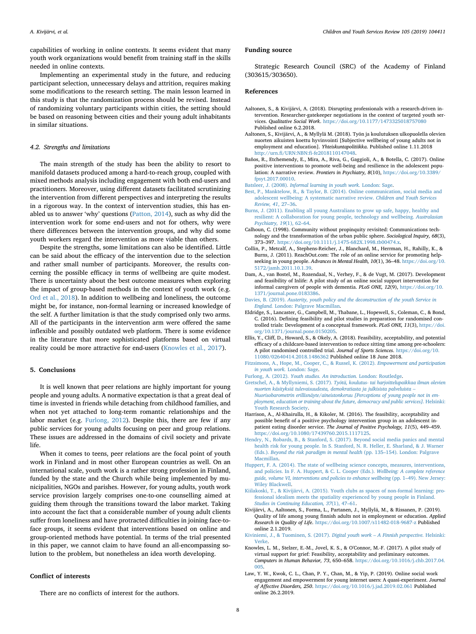capabilities of working in online contexts. It seems evident that many youth work organizations would benefit from training staff in the skills needed in online contexts.

Implementing an experimental study in the future, and reducing participant selection, unnecessary delays and attrition, requires making some modifications to the research setting. The main lesson learned in this study is that the randomization process should be revised. Instead of randomizing voluntary participants within cities, the setting should be based on reasoning between cities and their young adult inhabitants in similar situations.

#### *4.2. Strengths and limitations*

The main strength of the study has been the ability to resort to manifold datasets produced among a hard-to-reach group, coupled with mixed methods analysis including engagement with both end-users and practitioners. Moreover, using different datasets facilitated scrutinizing the intervention from different perspectives and interpreting the results in a rigorous way. In the context of intervention studies, this has enabled us to answer 'why' questions ([Patton, 2014](#page-8-9)), such as why did the intervention work for some end-users and not for others, why were there differences between the intervention groups, and why did some youth workers regard the intervention as more viable than others.

Despite the strengths, some limitations can also be identified. Little can be said about the efficacy of the intervention due to the selection and rather small number of participants. Moreover, the results concerning the possible efficacy in terms of wellbeing are quite modest. There is uncertainty about the best outcome measures when exploring the impact of group-based methods in the context of youth work (e.g. [Ord et al., 2018\)](#page-8-5). In addition to wellbeing and loneliness, the outcome might be, for instance, non-formal learning or increased knowledge of the self. A further limitation is that the study comprised only two arms. All of the participants in the intervention arm were offered the same inflexible and possibly outdated web platform. There is some evidence in the literature that more sophisticated platforms based on virtual reality could be more attractive for end-users ([Knowles et al., 2017\)](#page-7-15).

#### **5. Conclusions**

It is well known that peer relations are highly important for young people and young adults. A normative expectation is that a great deal of time is invested in friends while detaching from childhood families, and when not yet attached to long-term romantic relationships and the labor market (e.g. [Furlong, 2012\)](#page-7-22). Despite this, there are few if any public services for young adults focusing on peer and group relations. These issues are addressed in the domains of civil society and private life.

When it comes to teens, peer relations are the focal point of youth work in Finland and in most other European countries as well. On an international scale, youth work is a rather strong profession in Finland, funded by the state and the Church while being implemented by municipalities, NGOs and parishes. However, for young adults, youth work service provision largely comprises one-to-one counselling aimed at guiding them through the transitions toward the labor market. Taking into account the fact that a considerable number of young adult clients suffer from loneliness and have protracted difficulties in joining face-toface groups, it seems evident that interventions based on online and group-oriented methods have potential. In terms of the trial presented in this paper, we cannot claim to have found an all-encompassing solution to the problem, but nonetheless an idea worth developing.

## **Conflict of interests**

There are no conflicts of interest for the authors.

#### **Funding source**

Strategic Research Council (SRC) of the Academy of Finland (303615/303650).

#### **References**

- <span id="page-7-13"></span>Aaltonen, S., & Kivijärvi, A. (2018). Disrupting professionals with a research-driven intervention. Researcher-gatekeeper negotiations in the context of targeted youth services. *Qualitative Social Work*. <https://doi.org/10.1177/1473325018757080> [Published online 6.2.2018](https://doi.org/10.1177/1473325018757080).
- <span id="page-7-19"></span>Aaltonen, S., Kivijärvi, A., & Myllylä M. (2018). Työn ja koulutuksen ulkopuolella olevien nuorten aikuisten koettu hyvinvointi [Subjective wellbeing of young adults not in employment and education]. *Yhteiskuntapolitiikka*. Published online 1.11.2018 [http://urn.fi/URN:NBN:fi-fe2018110147048.](http://urn.fi/URN:NBN:fi-fe2018110147048)
- <span id="page-7-4"></span>Baños, R., Etchemendy, E., Mira, A., Riva, G., Gaggioli, A., & Botella, C. (2017). Online positive interventions to promote well-being and resilience in the adolescent population: A narrative review. *Frontiers in Psychiatry, 8*(10), [https://doi.org/10.3389/](https://doi.org/10.3389/fpsyt.2017.00010) [fpsyt.2017.00010](https://doi.org/10.3389/fpsyt.2017.00010).
- <span id="page-7-7"></span>Batsleer, J. (2008). *[Informal learning in youth work.](http://refhub.elsevier.com/S0190-7409(19)30199-9/rf0010)* London: Sage.
- <span id="page-7-2"></span>[Best, P., Manktelow, R., & Taylor, B. \(2014\). Online communication, social media and](http://refhub.elsevier.com/S0190-7409(19)30199-9/rf0015) [adolescent wellbeing: A systematic narrative review.](http://refhub.elsevier.com/S0190-7409(19)30199-9/rf0015) *Children and Youth Services [Review, 41](http://refhub.elsevier.com/S0190-7409(19)30199-9/rf0015)*, 27–36.
- <span id="page-7-5"></span>[Burns, J. \(2011\). Enabling all young Australians to grow up safe, happy, healthy and](http://refhub.elsevier.com/S0190-7409(19)30199-9/rf0020) [resilient: A collaboration for young people, technology and wellbeing.](http://refhub.elsevier.com/S0190-7409(19)30199-9/rf0020) *Australasian [Psychiatry, 19](http://refhub.elsevier.com/S0190-7409(19)30199-9/rf0020)*(1), 62–64.
- <span id="page-7-1"></span>Calhoun, C. (1998). Community without propinquity revisited: Communications technology and the transformation of the urban public sphere. *Sociological Inquiry, 68*(3), 373–397. <https://doi.org/10.1111/j.1475-682X.1998.tb00474.x>.
- <span id="page-7-3"></span>Collin, P., Metcalf, A., Stephens-Reicher, J., Blanchard, M., Herrman, H., Rahilly, K., & Burns, J. (2011). ReachOut.com: The role of an online service for promoting helpseeking in young people. *Advances in Mental Health, 10*(1), 36–48. [https://doi.org/10.](https://doi.org/10.5172/jamh.2011.10.1.39) [5172/jamh.2011.10.1.39.](https://doi.org/10.5172/jamh.2011.10.1.39)
- <span id="page-7-16"></span>Dam, A., van Bostel, M., Rozendaal, N., Verhey, F., & de Vugt, M. (2017). Development and feasibility of Inlife: A pilot study of an online social support intervention for informal caregivers of people with dementia. *PLoS ONE, 12*(9), [https://doi.org/10.](https://doi.org/10.1371/journal.pone.0183386) [1371/journal.pone.0183386.](https://doi.org/10.1371/journal.pone.0183386)
- <span id="page-7-9"></span>Davies, B. (2019). *[Austerity, youth policy and the deconstruction of the youth Service in](http://refhub.elsevier.com/S0190-7409(19)30199-9/rf0040) England.* [London: Palgrave Macmillan](http://refhub.elsevier.com/S0190-7409(19)30199-9/rf0040).
- <span id="page-7-14"></span>Eldridge, S., Lancaster, G., Campbell, M., Thabane, L., Hopewell, S., Coleman, C., & Bond, C. (2016). Defining feasibility and pilot studies in preparation for randomised controlled trials: Development of a conceptual framework. *PLoS ONE, 11*(3), [https://doi.](https://doi.org/10.1371/journal.pone.0150205) [org/10.1371/journal.pone.0150205](https://doi.org/10.1371/journal.pone.0150205).
- <span id="page-7-17"></span>Ellis, Y., Cliff, D., Howard, S., & Okely, A. (2018). Feasibility, acceptability, and potential efficacy of a childcare-based intervention to reduce sitting time among pre-schoolers: A pilot randomised controlled trial. *Journal of Sports Sciences*. [https://doi.org/10.](https://doi.org/10.11080/02640414.2018.1486362) [11080/02640414.2018.1486362](https://doi.org/10.11080/02640414.2018.1486362) Published online 18 June 2018.
- <span id="page-7-8"></span>[Fitzsimons, A., Hope, M., Cooper, C., & Russel, K. \(2012\).](http://refhub.elsevier.com/S0190-7409(19)30199-9/rf0055) *Empowerment and participation [in youth work.](http://refhub.elsevier.com/S0190-7409(19)30199-9/rf0055)* London: Sage.
- <span id="page-7-22"></span>Furlong, A. (2012). *[Youth studies. An introduction.](http://refhub.elsevier.com/S0190-7409(19)30199-9/rf0060)* London: Routledge.
- <span id="page-7-12"></span>Gretschel, A., & Myllyniemi, S. (2017). *[Työtä, koulutus- tai harjoittelupaikkaa ilman olevien](http://refhub.elsevier.com/S0190-7409(19)30199-9/rf0065) [nuorten käsityksiä tulevaisuudesta, demokratiasta ja julkisista palveluista –](http://refhub.elsevier.com/S0190-7409(19)30199-9/rf0065) [Nuorisobarometrin erillisnäyte/aineistonkeruu \[Perceptions of young people not in em](http://refhub.elsevier.com/S0190-7409(19)30199-9/rf0065)[ployment, education or training about the future, democracy and public services\].](http://refhub.elsevier.com/S0190-7409(19)30199-9/rf0065)* Helsinki: [Youth Research Society](http://refhub.elsevier.com/S0190-7409(19)30199-9/rf0065).
- <span id="page-7-18"></span>Harrison, A., Al-Khairulla, H., & Kikoler, M. (2016). The feasibility, acceptability and possible benefit of a positive psychology intervention group in an adolescent inpatient eating disorder service. *The Journal of Positive Psychology, 11*(5), 449–459. <https://doi.org/10.1080/17439760.2015.1117125>.
- <span id="page-7-0"></span>[Hendry, N., Robards, B., & Stanford, S. \(2017\). Beyond social media panics and mental](http://refhub.elsevier.com/S0190-7409(19)30199-9/rf0075) [health risk for young people. In S. Stanford, N. R. Heller, E. Sharland, & J. Warner](http://refhub.elsevier.com/S0190-7409(19)30199-9/rf0075) (Eds.). *[Beyond the risk paradigm in mental health](http://refhub.elsevier.com/S0190-7409(19)30199-9/rf0075)* (pp. 135–154). London: Palgrave [Macmillan](http://refhub.elsevier.com/S0190-7409(19)30199-9/rf0075).
- <span id="page-7-21"></span>[Huppert, F. A. \(2014\). The state of wellbeing science concepts, measures, interventions,](http://refhub.elsevier.com/S0190-7409(19)30199-9/rf0080) [and policies. In F. A. Huppert, & C. L. Cooper \(Eds.\).](http://refhub.elsevier.com/S0190-7409(19)30199-9/rf0080) *Wellbeing: A complete reference [guide, volume VI, interventions and policies to enhance wellbeing](http://refhub.elsevier.com/S0190-7409(19)30199-9/rf0080)* (pp. 1–49). New Jersey: [Wiley Blackwell](http://refhub.elsevier.com/S0190-7409(19)30199-9/rf0080).
- <span id="page-7-20"></span>[Kiilakoski, T., & Kivijärvi, A. \(2015\). Youth clubs as spaces of non-formal learning: pro](http://refhub.elsevier.com/S0190-7409(19)30199-9/rf2015)[fessional idealism meets the spatiality experienced by young people in Finland.](http://refhub.elsevier.com/S0190-7409(19)30199-9/rf2015) *[Studies in Continuing Education, 37](http://refhub.elsevier.com/S0190-7409(19)30199-9/rf2015)*(1), 47–61.
- <span id="page-7-11"></span>Kivijärvi, A., Aaltonen, S., Forma, L., Partanen, J., Myllylä, M., & Rissanen, P. (2019). Quality of life among young finnish adults not in employment or education. *Applied Research in Quality of Life*. <https://doi.org/10.1007/s11482-018-9687-z> Published [online 2.1.2019](https://doi.org/10.1007/s11482-018-9687-z).
- <span id="page-7-10"></span>Kiviniemi, J., & Tuominen, S. (2017). *[Digital youth work – A Finnish perspective.](http://refhub.elsevier.com/S0190-7409(19)30199-9/rf0085)* Helsinki: [Verke.](http://refhub.elsevier.com/S0190-7409(19)30199-9/rf0085)
- <span id="page-7-15"></span>Knowles, L. M., Stelzer, E.-M., Jovel, K. S., & O'Connor, M.-F. (2017). A pilot study of virtual support for grief: Feasibility, acceptability and preliminary outcomes. *Computers in Human Behavior, 73*, 650–658. [https://doi.org/10.1016/j.chb.2017.04.](https://doi.org/10.1016/j.chb.2017.04.005) [005](https://doi.org/10.1016/j.chb.2017.04.005).
- <span id="page-7-6"></span>Law, Y. W., Kwok, C. L., Chan, P. Y., Chan, M., & Yip, P. (2019). Online social work engagement and empowerment for young internet users: A quasi-experiment. *Journal of Affective Disorders, 250*. <https://doi.org/10.1016/j.jad.2019.02.061> Published [online 26.2.2019](https://doi.org/10.1016/j.jad.2019.02.061).